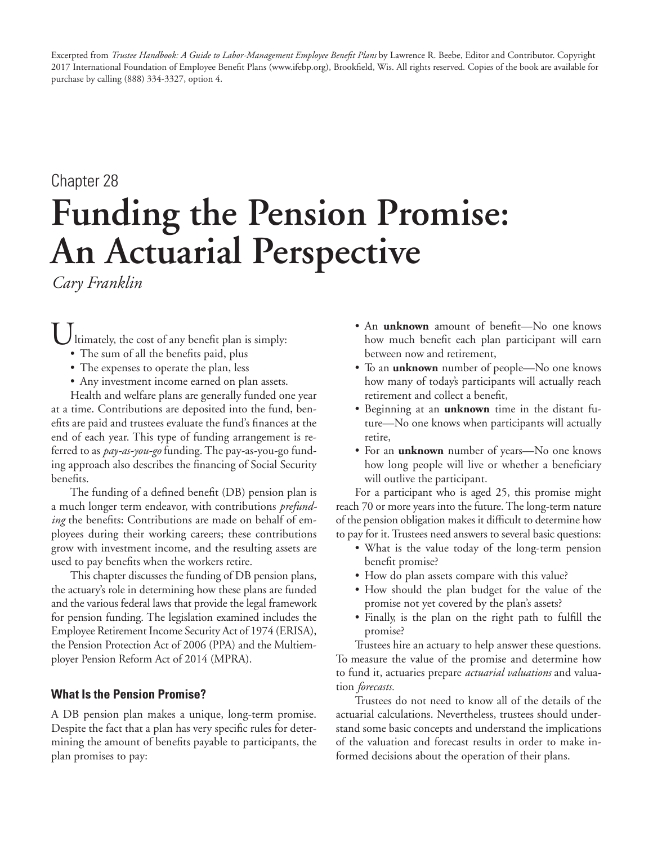Excerpted from *Trustee Handbook: A Guide to Labor-Management Employee Benefit Plans* by Lawrence R. Beebe, Editor and Contributor. Copyright 2017 International Foundation of Employee Benefit Plans (www.ifebp.org), Brookfield, Wis. All rights reserved. Copies of the book are available for purchase by calling (888) 334-3327, option 4.

# Chapter 28 **Funding the Pension Promise: An Actuarial Perspective**

*Cary Franklin*

Ultimately, the cost of any benefit plan is simply:

- The sum of all the benefits paid, plus
- The expenses to operate the plan, less
- Any investment income earned on plan assets.

Health and welfare plans are generally funded one year at a time. Contributions are deposited into the fund, benefits are paid and trustees evaluate the fund's finances at the end of each year. This type of funding arrangement is referred to as *pay-as-you-go* funding. The pay-as-you-go funding approach also describes the financing of Social Security benefits.

The funding of a defined benefit (DB) pension plan is a much longer term endeavor, with contributions *prefunding* the benefits: Contributions are made on behalf of employees during their working careers; these contributions grow with investment income, and the resulting assets are used to pay benefits when the workers retire.

This chapter discusses the funding of DB pension plans, the actuary's role in determining how these plans are funded and the various federal laws that provide the legal framework for pension funding. The legislation examined includes the Employee Retirement Income Security Act of 1974 (ERISA), the Pension Protection Act of 2006 (PPA) and the Multiemployer Pension Reform Act of 2014 (MPRA).

# **What Is the Pension Promise?**

A DB pension plan makes a unique, long-term promise. Despite the fact that a plan has very specific rules for determining the amount of benefits payable to participants, the plan promises to pay:

- An **unknown** amount of benefit—No one knows how much benefit each plan participant will earn between now and retirement,
- To an **unknown** number of people—No one knows how many of today's participants will actually reach retirement and collect a benefit,
- Beginning at an **unknown** time in the distant future—No one knows when participants will actually retire,
- For an **unknown** number of years—No one knows how long people will live or whether a beneficiary will outlive the participant.

For a participant who is aged 25, this promise might reach 70 or more years into the future. The long-term nature of the pension obligation makes it difficult to determine how to pay for it. Trustees need answers to several basic questions:

- What is the value today of the long-term pension benefit promise?
- How do plan assets compare with this value?
- How should the plan budget for the value of the promise not yet covered by the plan's assets?
- Finally, is the plan on the right path to fulfill the promise?

Trustees hire an actuary to help answer these questions. To measure the value of the promise and determine how to fund it, actuaries prepare *actuarial valuations* and valuation *forecasts.*

Trustees do not need to know all of the details of the actuarial calculations. Nevertheless, trustees should understand some basic concepts and understand the implications of the valuation and forecast results in order to make informed decisions about the operation of their plans.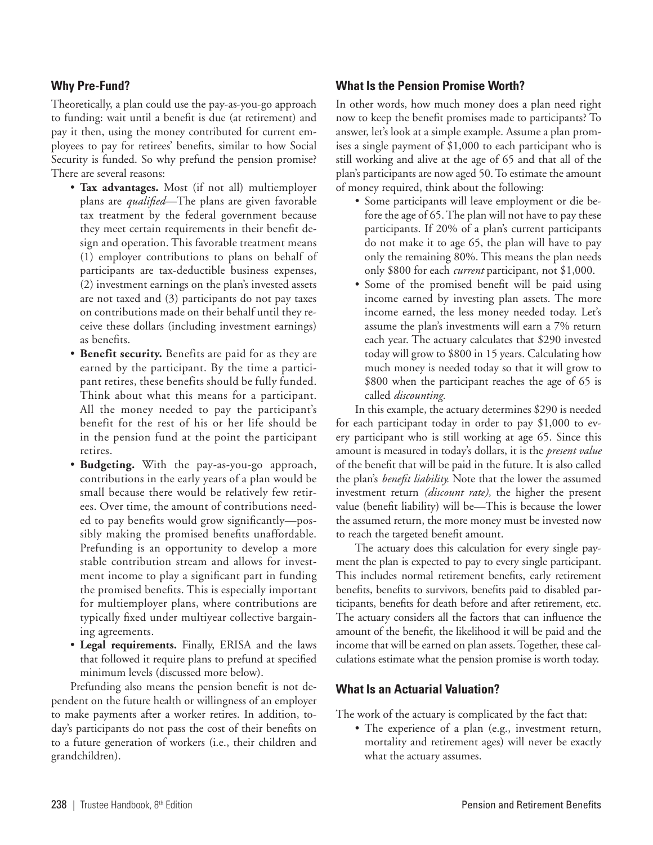## **Why Pre-Fund?**

Theoretically, a plan could use the pay-as-you-go approach to funding: wait until a benefit is due (at retirement) and pay it then, using the money contributed for current employees to pay for retirees' benefits, similar to how Social Security is funded. So why prefund the pension promise? There are several reasons:

- **Tax advantages.** Most (if not all) multiemployer plans are *qualified*—The plans are given favorable tax treatment by the federal government because they meet certain requirements in their benefit design and operation. This favorable treatment means (1) employer contributions to plans on behalf of participants are tax-deductible business expenses, (2) investment earnings on the plan's invested assets are not taxed and (3) participants do not pay taxes on contributions made on their behalf until they receive these dollars (including investment earnings) as benefits.
- **Benefit security.** Benefits are paid for as they are earned by the participant. By the time a participant retires, these benefits should be fully funded. Think about what this means for a participant. All the money needed to pay the participant's benefit for the rest of his or her life should be in the pension fund at the point the participant retires.
- **Budgeting.** With the pay-as-you-go approach, contributions in the early years of a plan would be small because there would be relatively few retirees. Over time, the amount of contributions needed to pay benefits would grow significantly—possibly making the promised benefits unaffordable. Prefunding is an opportunity to develop a more stable contribution stream and allows for investment income to play a significant part in funding the promised benefits. This is especially important for multiemployer plans, where contributions are typically fixed under multiyear collective bargaining agreements.
- **Legal requirements.** Finally, ERISA and the laws that followed it require plans to prefund at specified minimum levels (discussed more below).

Prefunding also means the pension benefit is not dependent on the future health or willingness of an employer to make payments after a worker retires. In addition, today's participants do not pass the cost of their benefits on to a future generation of workers (i.e., their children and grandchildren).

## **What Is the Pension Promise Worth?**

In other words, how much money does a plan need right now to keep the benefit promises made to participants? To answer, let's look at a simple example. Assume a plan promises a single payment of \$1,000 to each participant who is still working and alive at the age of 65 and that all of the plan's participants are now aged 50. To estimate the amount of money required, think about the following:

- Some participants will leave employment or die before the age of 65. The plan will not have to pay these participants. If 20% of a plan's current participants do not make it to age 65, the plan will have to pay only the remaining 80%. This means the plan needs only \$800 for each *current* participant, not \$1,000.
- Some of the promised benefit will be paid using income earned by investing plan assets. The more income earned, the less money needed today. Let's assume the plan's investments will earn a 7% return each year. The actuary calculates that \$290 invested today will grow to \$800 in 15 years. Calculating how much money is needed today so that it will grow to \$800 when the participant reaches the age of 65 is called *discounting.*

In this example, the actuary determines \$290 is needed for each participant today in order to pay \$1,000 to every participant who is still working at age 65. Since this amount is measured in today's dollars, it is the *present value*  of the benefit that will be paid in the future. It is also called the plan's *benefit liability.* Note that the lower the assumed investment return *(discount rate),* the higher the present value (benefit liability) will be—This is because the lower the assumed return, the more money must be invested now to reach the targeted benefit amount.

The actuary does this calculation for every single payment the plan is expected to pay to every single participant. This includes normal retirement benefits, early retirement benefits, benefits to survivors, benefits paid to disabled participants, benefits for death before and after retirement, etc. The actuary considers all the factors that can influence the amount of the benefit, the likelihood it will be paid and the income that will be earned on plan assets. Together, these calculations estimate what the pension promise is worth today.

#### **What Is an Actuarial Valuation?**

The work of the actuary is complicated by the fact that:

• The experience of a plan (e.g., investment return, mortality and retirement ages) will never be exactly what the actuary assumes.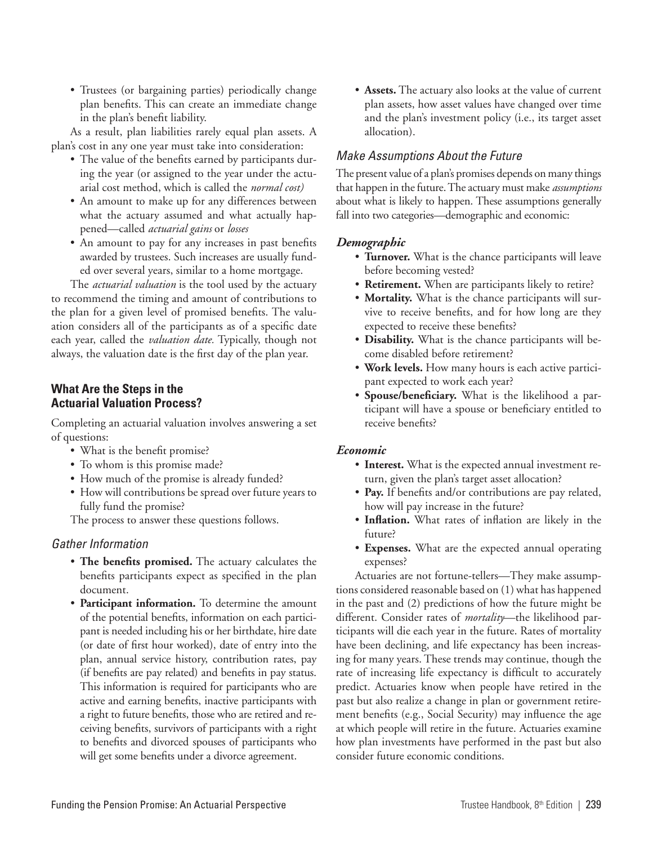• Trustees (or bargaining parties) periodically change plan benefits. This can create an immediate change in the plan's benefit liability.

As a result, plan liabilities rarely equal plan assets. A plan's cost in any one year must take into consideration:

- The value of the benefits earned by participants during the year (or assigned to the year under the actuarial cost method, which is called the *normal cost)*
- An amount to make up for any differences between what the actuary assumed and what actually happened—called *actuarial gains* or *losses*
- An amount to pay for any increases in past benefits awarded by trustees. Such increases are usually funded over several years, similar to a home mortgage.

The *actuarial valuation* is the tool used by the actuary to recommend the timing and amount of contributions to the plan for a given level of promised benefits. The valuation considers all of the participants as of a specific date each year, called the *valuation date.* Typically, though not always, the valuation date is the first day of the plan year.

## **What Are the Steps in the Actuarial Valuation Process?**

Completing an actuarial valuation involves answering a set of questions:

- What is the benefit promise?
- To whom is this promise made?
- How much of the promise is already funded?
- How will contributions be spread over future years to fully fund the promise?

The process to answer these questions follows.

## *Gather Information*

- **The benefits promised.** The actuary calculates the benefits participants expect as specified in the plan document.
- **Participant information.** To determine the amount of the potential benefits, information on each participant is needed including his or her birthdate, hire date (or date of first hour worked), date of entry into the plan, annual service history, contribution rates, pay (if benefits are pay related) and benefits in pay status. This information is required for participants who are active and earning benefits, inactive participants with a right to future benefits, those who are retired and receiving benefits, survivors of participants with a right to benefits and divorced spouses of participants who will get some benefits under a divorce agreement.

• **Assets.** The actuary also looks at the value of current plan assets, how asset values have changed over time and the plan's investment policy (i.e., its target asset allocation).

# *Make Assumptions About the Future*

The present value of a plan's promises depends on many things that happen in the future. The actuary must make *assumptions* about what is likely to happen. These assumptions generally fall into two categories—demographic and economic:

## *Demographic*

- **Turnover.** What is the chance participants will leave before becoming vested?
- **Retirement.** When are participants likely to retire?
- **Mortality.** What is the chance participants will survive to receive benefits, and for how long are they expected to receive these benefits?
- **Disability.** What is the chance participants will become disabled before retirement?
- **Work levels.** How many hours is each active participant expected to work each year?
- **Spouse/beneficiary.** What is the likelihood a participant will have a spouse or beneficiary entitled to receive benefits?

## *Economic*

- **Interest.** What is the expected annual investment return, given the plan's target asset allocation?
- **Pay.** If benefits and/or contributions are pay related, how will pay increase in the future?
- **Inflation.** What rates of inflation are likely in the future?
- **Expenses.** What are the expected annual operating expenses?

Actuaries are not fortune-tellers—They make assumptions considered reasonable based on (1) what has happened in the past and (2) predictions of how the future might be different. Consider rates of *mortality*—the likelihood participants will die each year in the future. Rates of mortality have been declining, and life expectancy has been increasing for many years. These trends may continue, though the rate of increasing life expectancy is difficult to accurately predict. Actuaries know when people have retired in the past but also realize a change in plan or government retirement benefits (e.g., Social Security) may influence the age at which people will retire in the future. Actuaries examine how plan investments have performed in the past but also consider future economic conditions.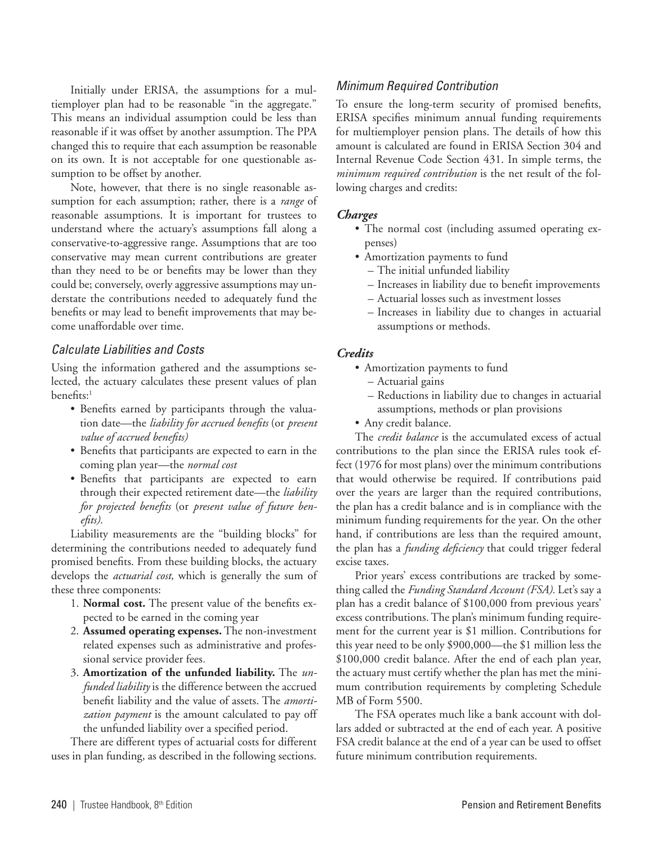Initially under ERISA, the assumptions for a multiemployer plan had to be reasonable "in the aggregate." This means an individual assumption could be less than reasonable if it was offset by another assumption. The PPA changed this to require that each assumption be reasonable on its own. It is not acceptable for one questionable assumption to be offset by another.

Note, however, that there is no single reasonable assumption for each assumption; rather, there is a *range* of reasonable assumptions. It is important for trustees to understand where the actuary's assumptions fall along a conservative-to-aggressive range. Assumptions that are too conservative may mean current contributions are greater than they need to be or benefits may be lower than they could be; conversely, overly aggressive assumptions may understate the contributions needed to adequately fund the benefits or may lead to benefit improvements that may become unaffordable over time.

#### *Calculate Liabilities and Costs*

Using the information gathered and the assumptions selected, the actuary calculates these present values of plan benefits:<sup>1</sup>

- Benefits earned by participants through the valuation date—the *liability for accrued benefits* (or *present value of accrued benefits)*
- Benefits that participants are expected to earn in the coming plan year—the *normal cost*
- Benefits that participants are expected to earn through their expected retirement date—the *liability for projected benefits* (or *present value of future benefits).*

Liability measurements are the "building blocks" for determining the contributions needed to adequately fund promised benefits. From these building blocks, the actuary develops the *actuarial cost,* which is generally the sum of these three components:

- 1. **Normal cost.** The present value of the benefits expected to be earned in the coming year
- 2. **Assumed operating expenses.** The non-investment related expenses such as administrative and professional service provider fees*.*
- 3. **Amortization of the unfunded liability.** The *unfunded liability* is the difference between the accrued benefit liability and the value of assets. The *amortization payment* is the amount calculated to pay off the unfunded liability over a specified period.

There are different types of actuarial costs for different uses in plan funding, as described in the following sections.

#### *Minimum Required Contribution*

To ensure the long-term security of promised benefits, ERISA specifies minimum annual funding requirements for multiemployer pension plans. The details of how this amount is calculated are found in ERISA Section 304 and Internal Revenue Code Section 431. In simple terms, the *minimum required contribution* is the net result of the following charges and credits:

#### *Charges*

- The normal cost (including assumed operating expenses)
- Amortization payments to fund
	- The initial unfunded liability
	- Increases in liability due to benefit improvements
	- Actuarial losses such as investment losses
	- Increases in liability due to changes in actuarial assumptions or methods.

#### *Credits*

- Amortization payments to fund
	- Actuarial gains
	- Reductions in liability due to changes in actuarial assumptions, methods or plan provisions
- Any credit balance.

The *credit balance* is the accumulated excess of actual contributions to the plan since the ERISA rules took effect (1976 for most plans) over the minimum contributions that would otherwise be required. If contributions paid over the years are larger than the required contributions, the plan has a credit balance and is in compliance with the minimum funding requirements for the year. On the other hand, if contributions are less than the required amount, the plan has a *funding deficiency* that could trigger federal excise taxes.

Prior years' excess contributions are tracked by something called the *Funding Standard Account (FSA).* Let's say a plan has a credit balance of \$100,000 from previous years' excess contributions. The plan's minimum funding requirement for the current year is \$1 million. Contributions for this year need to be only \$900,000—the \$1 million less the \$100,000 credit balance. After the end of each plan year, the actuary must certify whether the plan has met the minimum contribution requirements by completing Schedule MB of Form 5500.

The FSA operates much like a bank account with dollars added or subtracted at the end of each year. A positive FSA credit balance at the end of a year can be used to offset future minimum contribution requirements.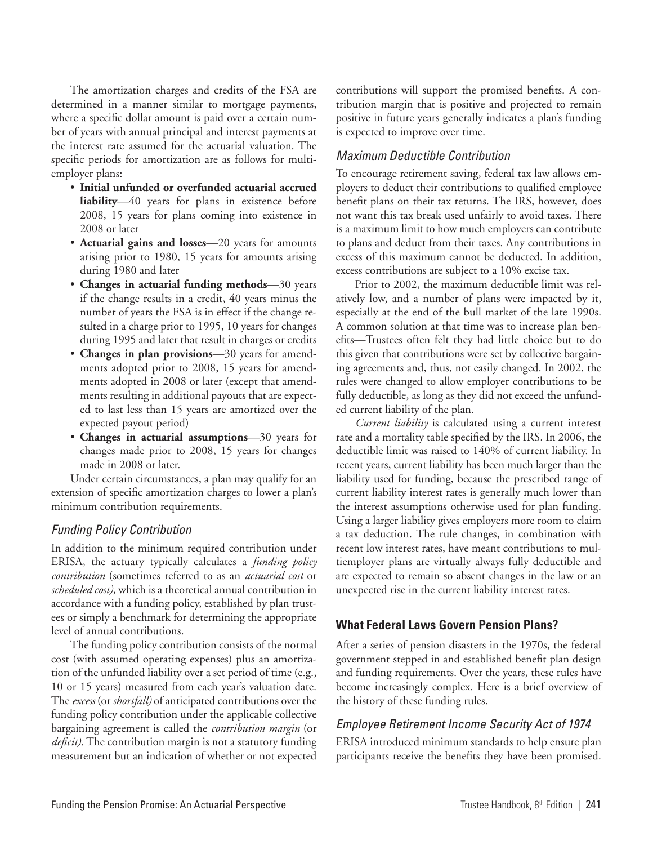The amortization charges and credits of the FSA are determined in a manner similar to mortgage payments, where a specific dollar amount is paid over a certain number of years with annual principal and interest payments at the interest rate assumed for the actuarial valuation. The specific periods for amortization are as follows for multiemployer plans:

- **Initial unfunded or overfunded actuarial accrued liability**—40 years for plans in existence before 2008, 15 years for plans coming into existence in 2008 or later
- **Actuarial gains and losses**—20 years for amounts arising prior to 1980, 15 years for amounts arising during 1980 and later
- **Changes in actuarial funding methods**—30 years if the change results in a credit, 40 years minus the number of years the FSA is in effect if the change resulted in a charge prior to 1995, 10 years for changes during 1995 and later that result in charges or credits
- **Changes in plan provisions**—30 years for amendments adopted prior to 2008, 15 years for amendments adopted in 2008 or later (except that amendments resulting in additional payouts that are expected to last less than 15 years are amortized over the expected payout period)
- **Changes in actuarial assumptions**—30 years for changes made prior to 2008, 15 years for changes made in 2008 or later.

Under certain circumstances, a plan may qualify for an extension of specific amortization charges to lower a plan's minimum contribution requirements.

# *Funding Policy Contribution*

In addition to the minimum required contribution under ERISA, the actuary typically calculates a *funding policy contribution* (sometimes referred to as an *actuarial cost* or *scheduled cost),* which is a theoretical annual contribution in accordance with a funding policy, established by plan trustees or simply a benchmark for determining the appropriate level of annual contributions.

The funding policy contribution consists of the normal cost (with assumed operating expenses) plus an amortization of the unfunded liability over a set period of time (e.g., 10 or 15 years) measured from each year's valuation date. The *excess* (or *shortfall)* of anticipated contributions over the funding policy contribution under the applicable collective bargaining agreement is called the *contribution margin* (or *deficit).* The contribution margin is not a statutory funding measurement but an indication of whether or not expected contributions will support the promised benefits. A contribution margin that is positive and projected to remain positive in future years generally indicates a plan's funding is expected to improve over time.

## *Maximum Deductible Contribution*

To encourage retirement saving, federal tax law allows employers to deduct their contributions to qualified employee benefit plans on their tax returns. The IRS, however, does not want this tax break used unfairly to avoid taxes. There is a maximum limit to how much employers can contribute to plans and deduct from their taxes. Any contributions in excess of this maximum cannot be deducted. In addition, excess contributions are subject to a 10% excise tax.

Prior to 2002, the maximum deductible limit was relatively low, and a number of plans were impacted by it, especially at the end of the bull market of the late 1990s. A common solution at that time was to increase plan benefits—Trustees often felt they had little choice but to do this given that contributions were set by collective bargaining agreements and, thus, not easily changed. In 2002, the rules were changed to allow employer contributions to be fully deductible, as long as they did not exceed the unfunded current liability of the plan.

*Current liability* is calculated using a current interest rate and a mortality table specified by the IRS. In 2006, the deductible limit was raised to 140% of current liability. In recent years, current liability has been much larger than the liability used for funding, because the prescribed range of current liability interest rates is generally much lower than the interest assumptions otherwise used for plan funding. Using a larger liability gives employers more room to claim a tax deduction. The rule changes, in combination with recent low interest rates, have meant contributions to multiemployer plans are virtually always fully deductible and are expected to remain so absent changes in the law or an unexpected rise in the current liability interest rates.

## **What Federal Laws Govern Pension Plans?**

After a series of pension disasters in the 1970s, the federal government stepped in and established benefit plan design and funding requirements. Over the years, these rules have become increasingly complex. Here is a brief overview of the history of these funding rules.

## *Employee Retirement Income Security Act of 1974*

ERISA introduced minimum standards to help ensure plan participants receive the benefits they have been promised.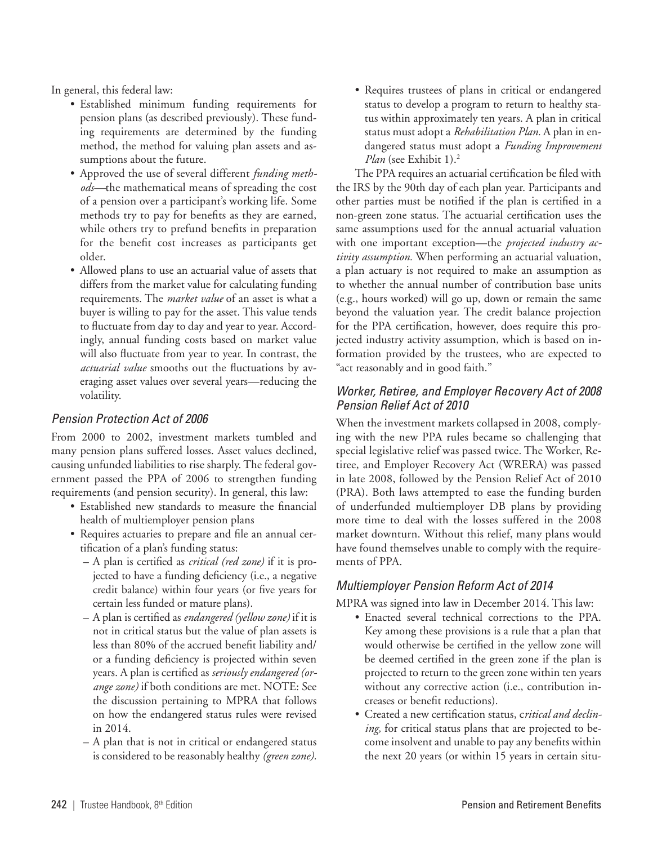In general, this federal law:

- Established minimum funding requirements for pension plans (as described previously). These funding requirements are determined by the funding method, the method for valuing plan assets and assumptions about the future.
- Approved the use of several different *funding methods—*the mathematical means of spreading the cost of a pension over a participant's working life. Some methods try to pay for benefits as they are earned, while others try to prefund benefits in preparation for the benefit cost increases as participants get older.
- Allowed plans to use an actuarial value of assets that differs from the market value for calculating funding requirements. The *market value* of an asset is what a buyer is willing to pay for the asset. This value tends to fluctuate from day to day and year to year. Accordingly, annual funding costs based on market value will also fluctuate from year to year. In contrast, the *actuarial value* smooths out the fluctuations by averaging asset values over several years—reducing the volatility.

## *Pension Protection Act of 2006*

From 2000 to 2002, investment markets tumbled and many pension plans suffered losses. Asset values declined, causing unfunded liabilities to rise sharply. The federal government passed the PPA of 2006 to strengthen funding requirements (and pension security). In general, this law:

- Established new standards to measure the financial health of multiemployer pension plans
- Requires actuaries to prepare and file an annual certification of a plan's funding status:
	- A plan is certified as *critical (red zone)* if it is projected to have a funding deficiency (i.e., a negative credit balance) within four years (or five years for certain less funded or mature plans).
	- A plan is certified as *endangered (yellow zone)* if it is not in critical status but the value of plan assets is less than 80% of the accrued benefit liability and/ or a funding deficiency is projected within seven years. A plan is certified as *seriously endangered (orange zone)* if both conditions are met. NOTE: See the discussion pertaining to MPRA that follows on how the endangered status rules were revised in 2014.
	- A plan that is not in critical or endangered status is considered to be reasonably healthy *(green zone).*

• Requires trustees of plans in critical or endangered status to develop a program to return to healthy status within approximately ten years. A plan in critical status must adopt a *Rehabilitation Plan.* A plan in endangered status must adopt a *Funding Improvement Plan* (see Exhibit 1).2

The PPA requires an actuarial certification be filed with the IRS by the 90th day of each plan year. Participants and other parties must be notified if the plan is certified in a non-green zone status. The actuarial certification uses the same assumptions used for the annual actuarial valuation with one important exception—the *projected industry activity assumption.* When performing an actuarial valuation, a plan actuary is not required to make an assumption as to whether the annual number of contribution base units (e.g., hours worked) will go up, down or remain the same beyond the valuation year. The credit balance projection for the PPA certification, however, does require this projected industry activity assumption, which is based on information provided by the trustees, who are expected to "act reasonably and in good faith."

# *Worker, Retiree, and Employer Recovery Act of 2008 Pension Relief Act of 2010*

When the investment markets collapsed in 2008, complying with the new PPA rules became so challenging that special legislative relief was passed twice. The Worker, Retiree, and Employer Recovery Act (WRERA) was passed in late 2008, followed by the Pension Relief Act of 2010 (PRA). Both laws attempted to ease the funding burden of underfunded multiemployer DB plans by providing more time to deal with the losses suffered in the 2008 market downturn. Without this relief, many plans would have found themselves unable to comply with the requirements of PPA.

# *Multiemployer Pension Reform Act of 2014*

MPRA was signed into law in December 2014. This law:

- Enacted several technical corrections to the PPA. Key among these provisions is a rule that a plan that would otherwise be certified in the yellow zone will be deemed certified in the green zone if the plan is projected to return to the green zone within ten years without any corrective action (i.e., contribution increases or benefit reductions).
- Created a new certification status, c*ritical and declining,* for critical status plans that are projected to become insolvent and unable to pay any benefits within the next 20 years (or within 15 years in certain situ-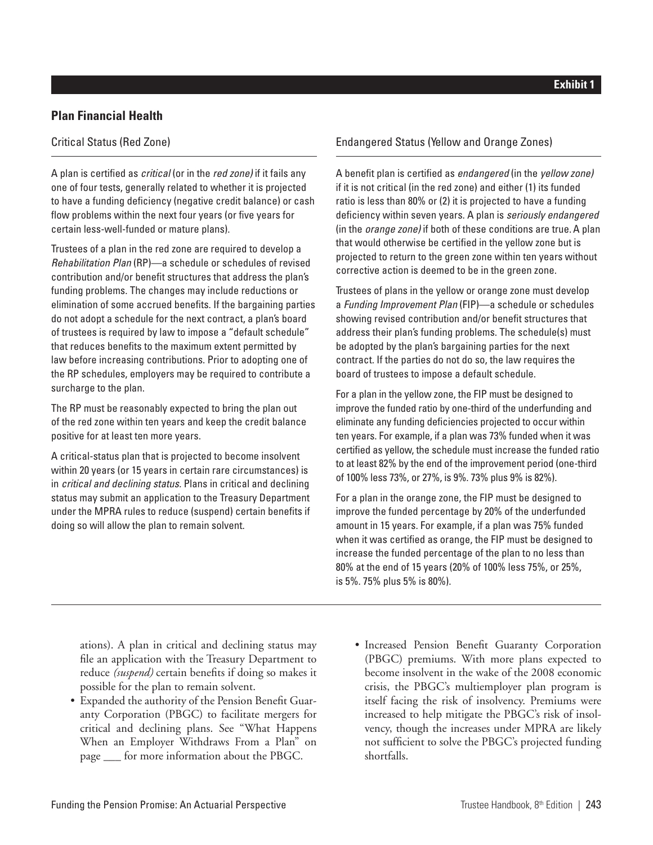# **Plan Financial Health**

## Critical Status (Red Zone)

A plan is certified as *critical* (or in the *red zone)* if it fails any one of four tests, generally related to whether it is projected to have a funding deficiency (negative credit balance) or cash flow problems within the next four years (or five years for certain less-well-funded or mature plans).

Trustees of a plan in the red zone are required to develop a *Rehabilitation Plan* (RP)—a schedule or schedules of revised contribution and/or benefit structures that address the plan's funding problems. The changes may include reductions or elimination of some accrued benefits. If the bargaining parties do not adopt a schedule for the next contract, a plan's board of trustees is required by law to impose a "default schedule" that reduces benefits to the maximum extent permitted by law before increasing contributions. Prior to adopting one of the RP schedules, employers may be required to contribute a surcharge to the plan.

The RP must be reasonably expected to bring the plan out of the red zone within ten years and keep the credit balance positive for at least ten more years.

A critical-status plan that is projected to become insolvent within 20 years (or 15 years in certain rare circumstances) is in *critical and declining status.* Plans in critical and declining status may submit an application to the Treasury Department under the MPRA rules to reduce (suspend) certain benefits if doing so will allow the plan to remain solvent.

## **Exhibit 1**

## Endangered Status (Yellow and Orange Zones)

A benefit plan is certified as *endangered* (in the *yellow zone)* if it is not critical (in the red zone) and either (1) its funded ratio is less than 80% or (2) it is projected to have a funding deficiency within seven years. A plan is *seriously endangered*  (in the *orange zone)* if both of these conditions are true. A plan that would otherwise be certified in the yellow zone but is projected to return to the green zone within ten years without corrective action is deemed to be in the green zone.

Trustees of plans in the yellow or orange zone must develop a *Funding Improvement Plan* (FIP)—a schedule or schedules showing revised contribution and/or benefit structures that address their plan's funding problems. The schedule(s) must be adopted by the plan's bargaining parties for the next contract. If the parties do not do so, the law requires the board of trustees to impose a default schedule.

For a plan in the yellow zone, the FIP must be designed to improve the funded ratio by one-third of the underfunding and eliminate any funding deficiencies projected to occur within ten years. For example, if a plan was 73% funded when it was certified as yellow, the schedule must increase the funded ratio to at least 82% by the end of the improvement period (one-third of 100% less 73%, or 27%, is 9%. 73% plus 9% is 82%).

For a plan in the orange zone, the FIP must be designed to improve the funded percentage by 20% of the underfunded amount in 15 years. For example, if a plan was 75% funded when it was certified as orange, the FIP must be designed to increase the funded percentage of the plan to no less than 80% at the end of 15 years (20% of 100% less 75%, or 25%, is 5%. 75% plus 5% is 80%).

ations). A plan in critical and declining status may file an application with the Treasury Department to reduce *(suspend)* certain benefits if doing so makes it possible for the plan to remain solvent.

- Expanded the authority of the Pension Benefit Guaranty Corporation (PBGC) to facilitate mergers for critical and declining plans. See "What Happens When an Employer Withdraws From a Plan" on page \_\_\_ for more information about the PBGC.
- Increased Pension Benefit Guaranty Corporation (PBGC) premiums. With more plans expected to become insolvent in the wake of the 2008 economic crisis, the PBGC's multiemployer plan program is itself facing the risk of insolvency. Premiums were increased to help mitigate the PBGC's risk of insolvency, though the increases under MPRA are likely not sufficient to solve the PBGC's projected funding shortfalls.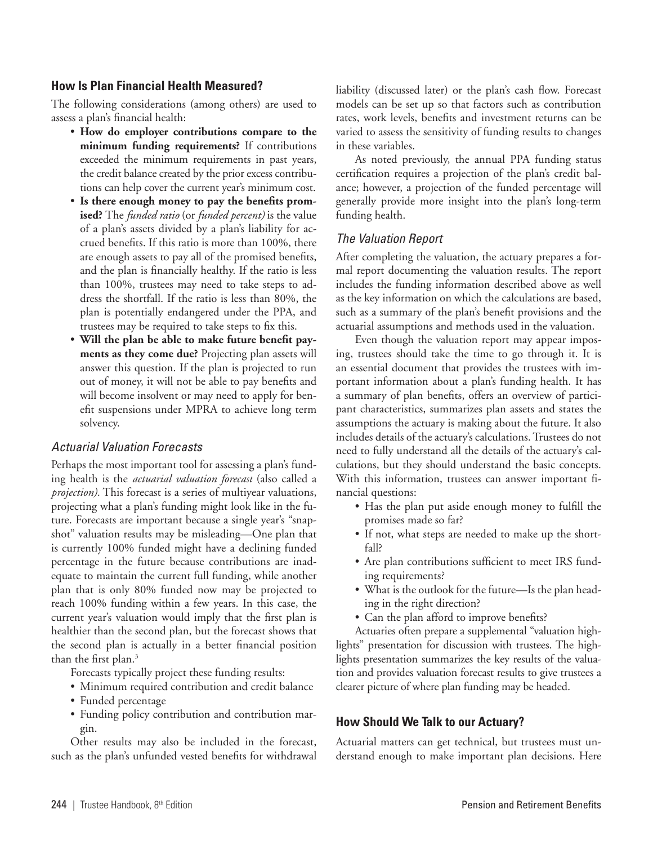## **How Is Plan Financial Health Measured?**

The following considerations (among others) are used to assess a plan's financial health:

- **How do employer contributions compare to the minimum funding requirements?** If contributions exceeded the minimum requirements in past years, the credit balance created by the prior excess contributions can help cover the current year's minimum cost.
- **Is there enough money to pay the benefits promised?** The *funded ratio* (or *funded percent)* is the value of a plan's assets divided by a plan's liability for accrued benefits. If this ratio is more than 100%, there are enough assets to pay all of the promised benefits, and the plan is financially healthy. If the ratio is less than 100%, trustees may need to take steps to address the shortfall. If the ratio is less than 80%, the plan is potentially endangered under the PPA, and trustees may be required to take steps to fix this.
- **Will the plan be able to make future benefit payments as they come due?** Projecting plan assets will answer this question. If the plan is projected to run out of money, it will not be able to pay benefits and will become insolvent or may need to apply for benefit suspensions under MPRA to achieve long term solvency.

## *Actuarial Valuation Forecasts*

Perhaps the most important tool for assessing a plan's funding health is the *actuarial valuation forecast* (also called a *projection).* This forecast is a series of multiyear valuations, projecting what a plan's funding might look like in the future. Forecasts are important because a single year's "snapshot" valuation results may be misleading—One plan that is currently 100% funded might have a declining funded percentage in the future because contributions are inadequate to maintain the current full funding, while another plan that is only 80% funded now may be projected to reach 100% funding within a few years. In this case, the current year's valuation would imply that the first plan is healthier than the second plan, but the forecast shows that the second plan is actually in a better financial position than the first plan. $3$ 

Forecasts typically project these funding results:

- Minimum required contribution and credit balance
- Funded percentage
- Funding policy contribution and contribution margin.

Other results may also be included in the forecast, such as the plan's unfunded vested benefits for withdrawal liability (discussed later) or the plan's cash flow. Forecast models can be set up so that factors such as contribution rates, work levels, benefits and investment returns can be varied to assess the sensitivity of funding results to changes in these variables.

As noted previously, the annual PPA funding status certification requires a projection of the plan's credit balance; however, a projection of the funded percentage will generally provide more insight into the plan's long-term funding health.

## *The Valuation Report*

After completing the valuation, the actuary prepares a formal report documenting the valuation results. The report includes the funding information described above as well as the key information on which the calculations are based, such as a summary of the plan's benefit provisions and the actuarial assumptions and methods used in the valuation.

Even though the valuation report may appear imposing, trustees should take the time to go through it. It is an essential document that provides the trustees with important information about a plan's funding health. It has a summary of plan benefits, offers an overview of participant characteristics, summarizes plan assets and states the assumptions the actuary is making about the future. It also includes details of the actuary's calculations. Trustees do not need to fully understand all the details of the actuary's calculations, but they should understand the basic concepts. With this information, trustees can answer important financial questions:

- Has the plan put aside enough money to fulfill the promises made so far?
- If not, what steps are needed to make up the shortfall?
- Are plan contributions sufficient to meet IRS funding requirements?
- What is the outlook for the future—Is the plan heading in the right direction?
- Can the plan afford to improve benefits?

Actuaries often prepare a supplemental "valuation highlights" presentation for discussion with trustees. The highlights presentation summarizes the key results of the valuation and provides valuation forecast results to give trustees a clearer picture of where plan funding may be headed.

## **How Should We Talk to our Actuary?**

Actuarial matters can get technical, but trustees must understand enough to make important plan decisions. Here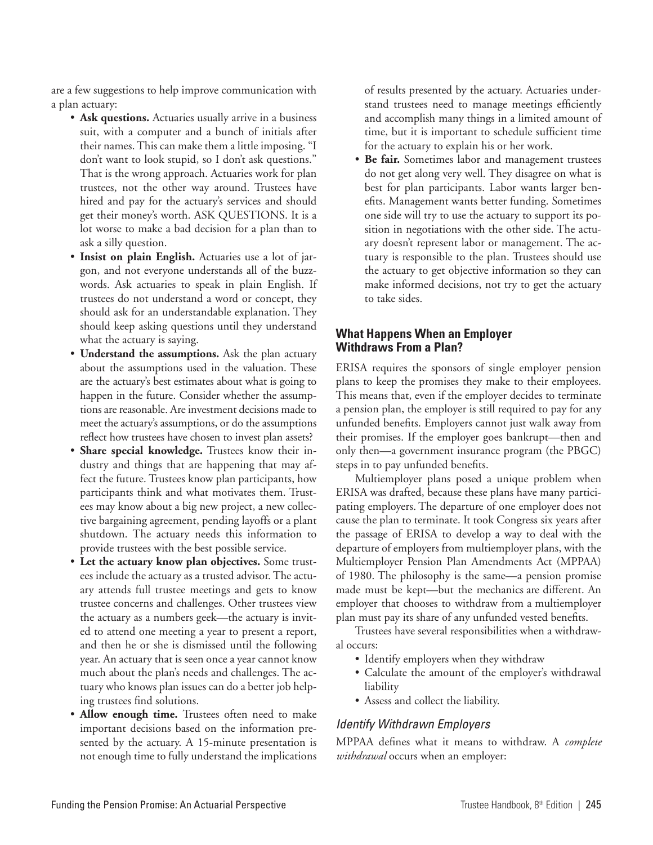are a few suggestions to help improve communication with a plan actuary:

- **Ask questions.** Actuaries usually arrive in a business suit, with a computer and a bunch of initials after their names. This can make them a little imposing. "I don't want to look stupid, so I don't ask questions." That is the wrong approach. Actuaries work for plan trustees, not the other way around. Trustees have hired and pay for the actuary's services and should get their money's worth. ASK QUESTIONS. It is a lot worse to make a bad decision for a plan than to ask a silly question.
- **Insist on plain English.** Actuaries use a lot of jargon, and not everyone understands all of the buzzwords. Ask actuaries to speak in plain English. If trustees do not understand a word or concept, they should ask for an understandable explanation. They should keep asking questions until they understand what the actuary is saying.
- **Understand the assumptions.** Ask the plan actuary about the assumptions used in the valuation. These are the actuary's best estimates about what is going to happen in the future. Consider whether the assumptions are reasonable. Are investment decisions made to meet the actuary's assumptions, or do the assumptions reflect how trustees have chosen to invest plan assets?
- **Share special knowledge.** Trustees know their industry and things that are happening that may affect the future. Trustees know plan participants, how participants think and what motivates them. Trustees may know about a big new project, a new collective bargaining agreement, pending layoffs or a plant shutdown. The actuary needs this information to provide trustees with the best possible service.
- **Let the actuary know plan objectives.** Some trustees include the actuary as a trusted advisor. The actuary attends full trustee meetings and gets to know trustee concerns and challenges. Other trustees view the actuary as a numbers geek—the actuary is invited to attend one meeting a year to present a report, and then he or she is dismissed until the following year. An actuary that is seen once a year cannot know much about the plan's needs and challenges. The actuary who knows plan issues can do a better job helping trustees find solutions.
- Allow enough time. Trustees often need to make important decisions based on the information presented by the actuary. A 15-minute presentation is not enough time to fully understand the implications

of results presented by the actuary. Actuaries understand trustees need to manage meetings efficiently and accomplish many things in a limited amount of time, but it is important to schedule sufficient time for the actuary to explain his or her work.

• **Be fair.** Sometimes labor and management trustees do not get along very well. They disagree on what is best for plan participants. Labor wants larger benefits. Management wants better funding. Sometimes one side will try to use the actuary to support its position in negotiations with the other side. The actuary doesn't represent labor or management. The actuary is responsible to the plan. Trustees should use the actuary to get objective information so they can make informed decisions, not try to get the actuary to take sides.

## **What Happens When an Employer Withdraws From a Plan?**

ERISA requires the sponsors of single employer pension plans to keep the promises they make to their employees. This means that, even if the employer decides to terminate a pension plan, the employer is still required to pay for any unfunded benefits. Employers cannot just walk away from their promises. If the employer goes bankrupt—then and only then—a government insurance program (the PBGC) steps in to pay unfunded benefits.

Multiemployer plans posed a unique problem when ERISA was drafted, because these plans have many participating employers. The departure of one employer does not cause the plan to terminate. It took Congress six years after the passage of ERISA to develop a way to deal with the departure of employers from multiemployer plans, with the Multiemployer Pension Plan Amendments Act (MPPAA) of 1980. The philosophy is the same—a pension promise made must be kept—but the mechanics are different. An employer that chooses to withdraw from a multiemployer plan must pay its share of any unfunded vested benefits.

Trustees have several responsibilities when a withdrawal occurs:

- Identify employers when they withdraw
- Calculate the amount of the employer's withdrawal liability
- Assess and collect the liability.

# *Identify Withdrawn Employers*

MPPAA defines what it means to withdraw. A *complete withdrawal* occurs when an employer: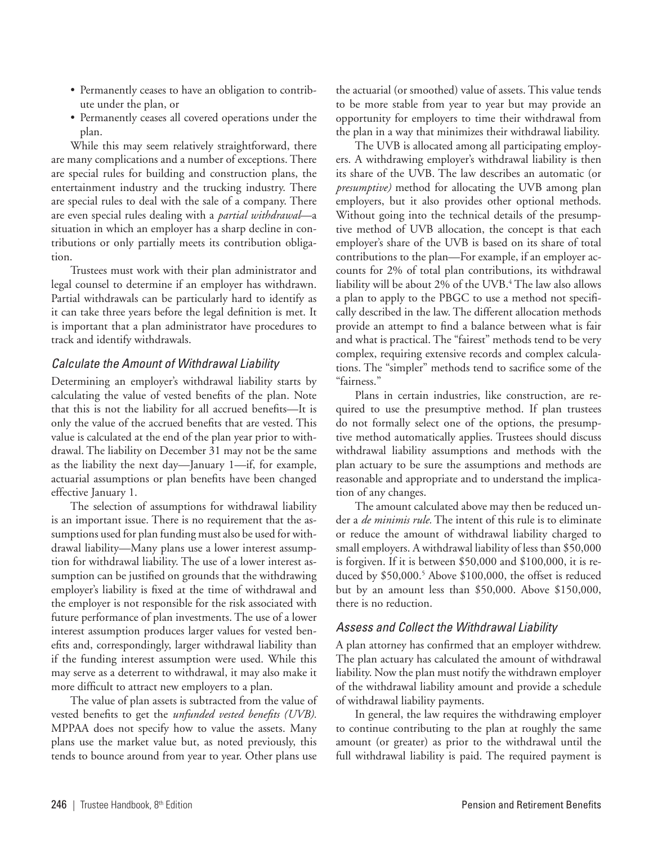- Permanently ceases to have an obligation to contribute under the plan, or
- Permanently ceases all covered operations under the plan.

While this may seem relatively straightforward, there are many complications and a number of exceptions. There are special rules for building and construction plans, the entertainment industry and the trucking industry. There are special rules to deal with the sale of a company. There are even special rules dealing with a *partial withdrawal*—a situation in which an employer has a sharp decline in contributions or only partially meets its contribution obligation.

Trustees must work with their plan administrator and legal counsel to determine if an employer has withdrawn. Partial withdrawals can be particularly hard to identify as it can take three years before the legal definition is met. It is important that a plan administrator have procedures to track and identify withdrawals.

## *Calculate the Amount of Withdrawal Liability*

Determining an employer's withdrawal liability starts by calculating the value of vested benefits of the plan. Note that this is not the liability for all accrued benefits—It is only the value of the accrued benefits that are vested. This value is calculated at the end of the plan year prior to withdrawal. The liability on December 31 may not be the same as the liability the next day—January 1—if, for example, actuarial assumptions or plan benefits have been changed effective January 1.

The selection of assumptions for withdrawal liability is an important issue. There is no requirement that the assumptions used for plan funding must also be used for withdrawal liability—Many plans use a lower interest assumption for withdrawal liability. The use of a lower interest assumption can be justified on grounds that the withdrawing employer's liability is fixed at the time of withdrawal and the employer is not responsible for the risk associated with future performance of plan investments. The use of a lower interest assumption produces larger values for vested benefits and, correspondingly, larger withdrawal liability than if the funding interest assumption were used. While this may serve as a deterrent to withdrawal, it may also make it more difficult to attract new employers to a plan.

The value of plan assets is subtracted from the value of vested benefits to get the *unfunded vested benefits (UVB).* MPPAA does not specify how to value the assets. Many plans use the market value but, as noted previously, this tends to bounce around from year to year. Other plans use

the actuarial (or smoothed) value of assets. This value tends to be more stable from year to year but may provide an opportunity for employers to time their withdrawal from the plan in a way that minimizes their withdrawal liability.

The UVB is allocated among all participating employers. A withdrawing employer's withdrawal liability is then its share of the UVB. The law describes an automatic (or *presumptive)* method for allocating the UVB among plan employers, but it also provides other optional methods. Without going into the technical details of the presumptive method of UVB allocation, the concept is that each employer's share of the UVB is based on its share of total contributions to the plan—For example, if an employer accounts for 2% of total plan contributions, its withdrawal liability will be about 2% of the UVB.4 The law also allows a plan to apply to the PBGC to use a method not specifically described in the law. The different allocation methods provide an attempt to find a balance between what is fair and what is practical. The "fairest" methods tend to be very complex, requiring extensive records and complex calculations. The "simpler" methods tend to sacrifice some of the "fairness."

Plans in certain industries, like construction, are required to use the presumptive method. If plan trustees do not formally select one of the options, the presumptive method automatically applies. Trustees should discuss withdrawal liability assumptions and methods with the plan actuary to be sure the assumptions and methods are reasonable and appropriate and to understand the implication of any changes.

The amount calculated above may then be reduced under a *de minimis rule.* The intent of this rule is to eliminate or reduce the amount of withdrawal liability charged to small employers. A withdrawal liability of less than \$50,000 is forgiven. If it is between \$50,000 and \$100,000, it is reduced by \$50,000.<sup>5</sup> Above \$100,000, the offset is reduced but by an amount less than \$50,000. Above \$150,000, there is no reduction.

#### *Assess and Collect the Withdrawal Liability*

A plan attorney has confirmed that an employer withdrew. The plan actuary has calculated the amount of withdrawal liability. Now the plan must notify the withdrawn employer of the withdrawal liability amount and provide a schedule of withdrawal liability payments.

In general, the law requires the withdrawing employer to continue contributing to the plan at roughly the same amount (or greater) as prior to the withdrawal until the full withdrawal liability is paid. The required payment is